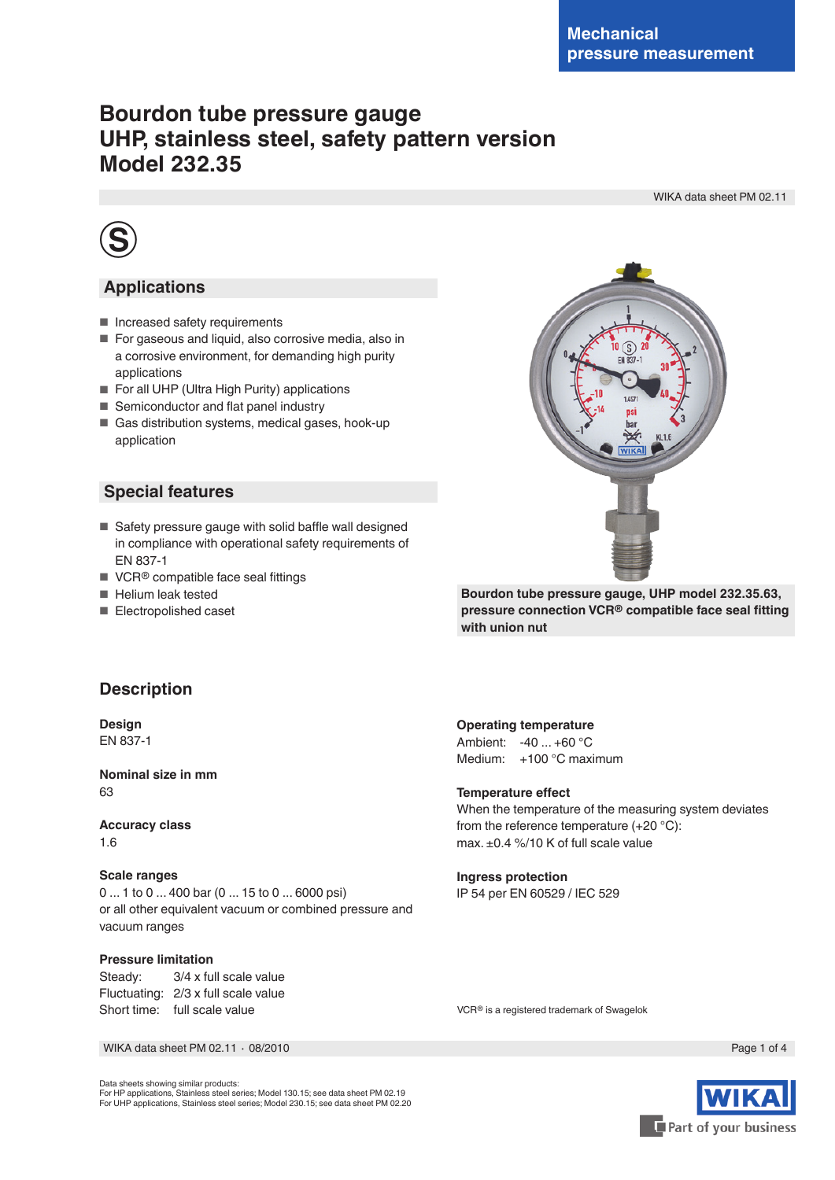# **Bourdon tube pressure gauge UHP, stainless steel, safety pattern version Model 232.35**

WIKA data sheet PM 02.11



### **Applications**

- Increased safety requirements
- For gaseous and liquid, also corrosive media, also in a corrosive environment, for demanding high purity applications
- For all UHP (Ultra High Purity) applications
- Semiconductor and flat panel industry
- Gas distribution systems, medical gases, hook-up application

### **Special features**

- Safety pressure gauge with solid baffle wall designed in compliance with operational safety requirements of EN 837-1
- VCR<sup>®</sup> compatible face seal fittings
- Helium leak tested
- Electropolished caset

<sub>S</sub> **FN 837-WIKA** 

**Bourdon tube pressure gauge, UHP model 232.35.63, pressure connection VCR® compatible face seal fitting with union nut** 

### **Description**

**Design** EN 837-1

**Nominal size in mm** 63

**Accuracy class** 1.6

#### **Scale ranges**

0 ... 1 to 0 ... 400 bar (0 ... 15 to 0 ... 6000 psi) or all other equivalent vacuum or combined pressure and vacuum ranges

#### **Pressure limitation**

Steady: 3/4 x full scale value Fluctuating: 2/3 x full scale value Short time: full scale value

#### **Operating temperature**

Ambient: -40 ... +60 °C Medium: +100 °C maximum

#### **Temperature effect**

When the temperature of the measuring system deviates from the reference temperature (+20 °C): max. ±0.4 %/10 K of full scale value

#### **Ingress protection**

IP 54 per EN 60529 / IEC 529

VCR® is a registered trademark of Swagelok

WIKA data sheet PM 02.11 ⋅ 08/2010 Page 1 of 4

Data sheets showing similar products: For HP applications, Stainless steel series; Model 130.15; see data sheet PM 02.19 For UHP applications, Stainless steel series; Model 230.15; see data sheet PM 02.20

Part of your business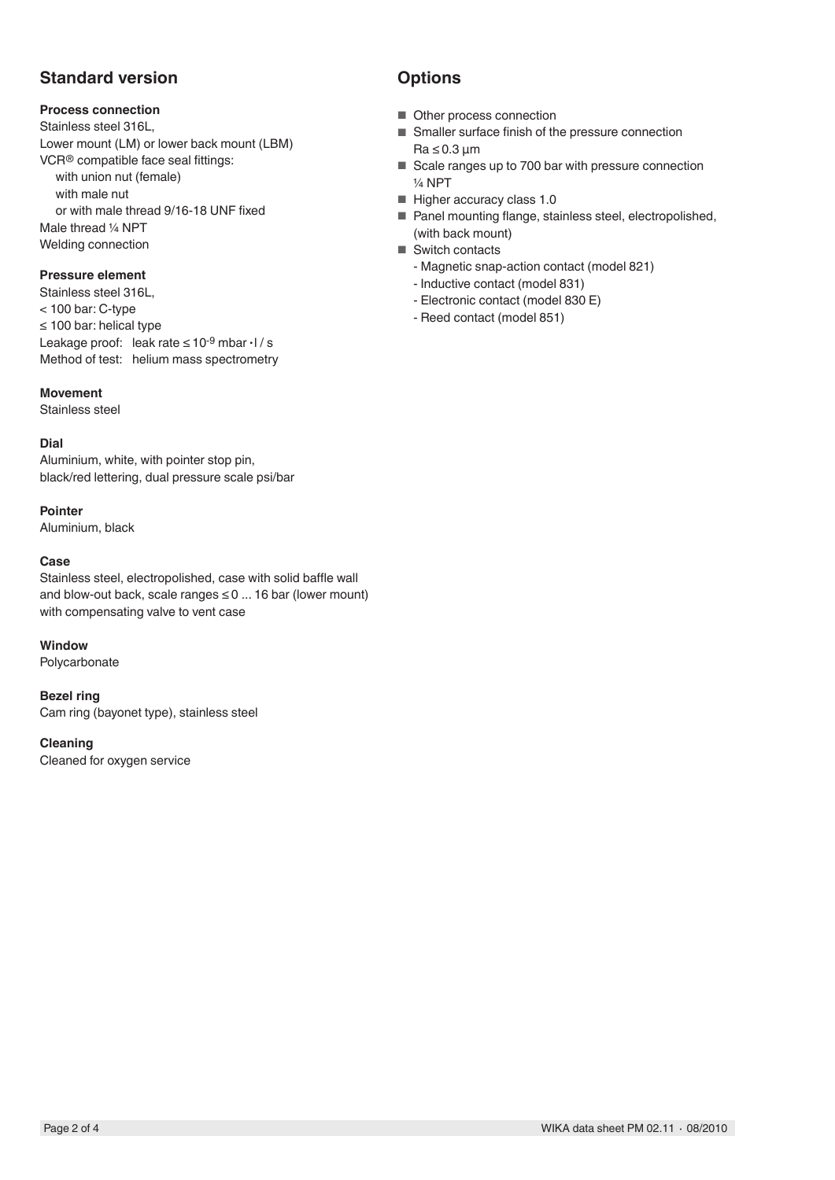# **Standard version**

### **Process connection**

Stainless steel 316L, Lower mount (LM) or lower back mount (LBM) VCR® compatible face seal fittings: with union nut (female) with male nut or with male thread 9/16-18 UNF fixed Male thread ¼ NPT Welding connection

### **Pressure element**

Stainless steel 316L, < 100 bar: C-type ≤ 100 bar: helical type Leakage proof: leak rate  $≤ 10<sup>-9</sup>$  mbar  $·1$  / s Method of test: helium mass spectrometry

#### **Movement**

Stainless steel

### **Dial**

Aluminium, white, with pointer stop pin, black/red lettering, dual pressure scale psi/bar

#### **Pointer**

Aluminium, black

#### **Case**

Stainless steel, electropolished, case with solid baffle wall and blow-out back, scale ranges  $\leq 0$  ... 16 bar (lower mount) with compensating valve to vent case

#### **Window**

Polycarbonate

#### **Bezel ring**

Cam ring (bayonet type), stainless steel

#### **Cleaning**

Cleaned for oxygen service

# **Options**

- Other process connection
- Smaller surface finish of the pressure connection Ra ≤ 0.3 µm
- Scale ranges up to 700 bar with pressure connection ¼ NPT
- Higher accuracy class 1.0
- Panel mounting flange, stainless steel, electropolished, (with back mount)
- Switch contacts
	- Magnetic snap-action contact (model 821)
	- Inductive contact (model 831)
	- Electronic contact (model 830 E)
	- Reed contact (model 851)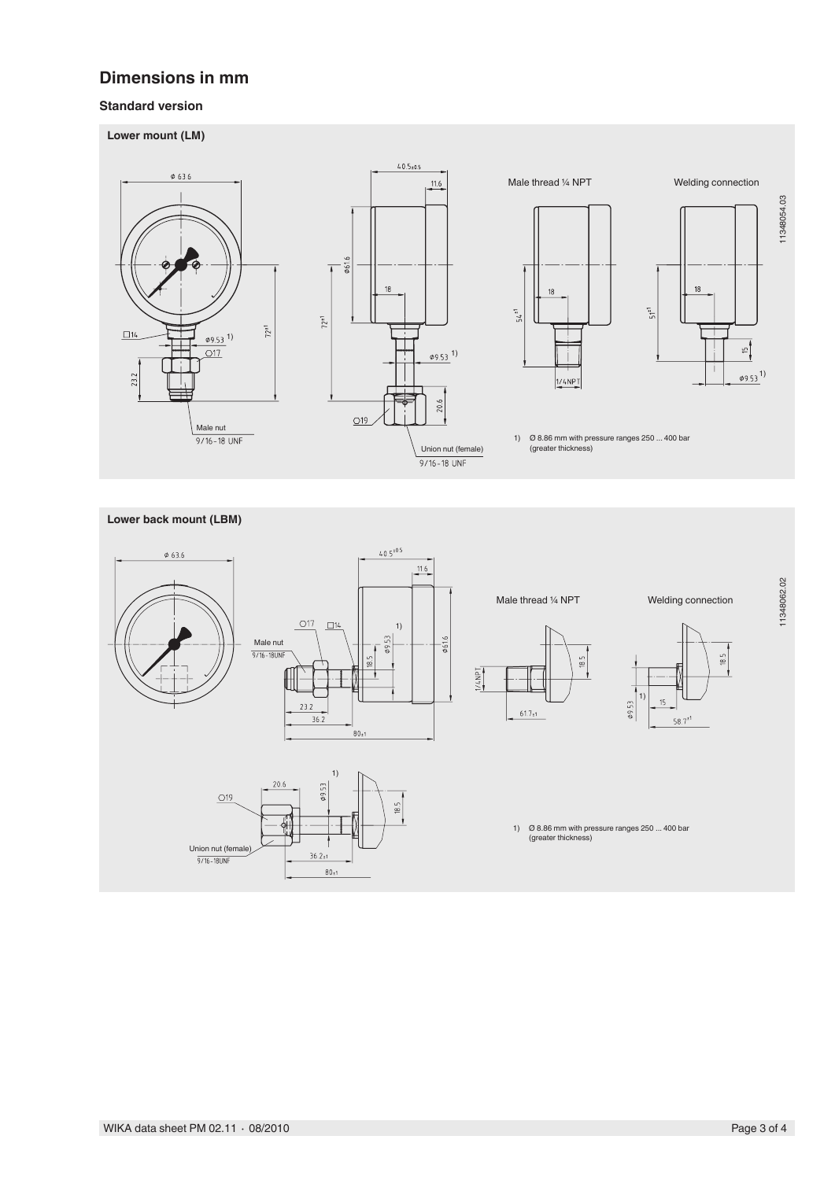## **Dimensions in mm**

### **Standard version**





 $80_{\pm 1}$ 

11348062.02 11348062.02

 $18.5$ 

1)

 $15$ 

 $58.7^{*1}$ 

 $09.53$ 

 $18.5$